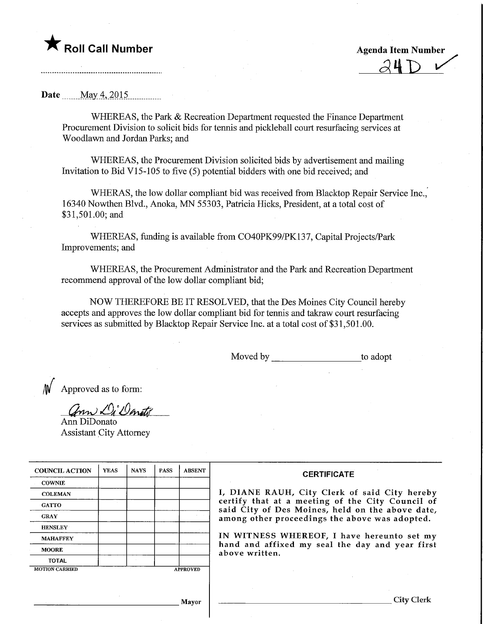Roll Call Number Agenda Item Number ^4-D ^

Date \_\_\_\_\_ May 4, 2015

WHEREAS, the Park & Recreation Department requested the Finance Department Procurement Division to solicit bids for tennis and pickleball court resurfacing services at Woodlawn and Jordan Parks; and

WHEREAS, the Procurement Division solicited bids by advertisement and mailing Invitation to Bid V15-105 to five (5) potential bidders with one bid received; and

WHERAS, the low dollar compliant bid was received from Blacktop Repair Service Inc., 16340 Nowthen Blvd., Anoka, MN 55303, Patricia Hicks, President, at a total cost of \$31,501.00; and

WHEREAS, funding is available from C040PK99/PK137, Capital Projects/Park Improvements; and

WHEREAS, the Procurement Administrator and the Park and Recreation Department recommend approval of the low dollar compliant bid;

NOW THEREFORE BE IT RESOLVED, that the Des Moines City Council hereby accepts and approves the low dollar compliant bid for tennis and takraw court resurfacing services as submitted by Blacktop Repair Service Inc. at a total cost of \$31,501.00.

Moved by to adopt

Approved as to form:

ann Di Danity

Ann DiDonato Assistant City Attorney

| <b>COUNCIL ACTION</b> | <b>YEAS</b> | <b>NAYS</b> | <b>PASS</b> | <b>ABSENT</b>   | <b>CERTIFICATE</b>                                                                                                                                                                                                                                                        |  |  |  |
|-----------------------|-------------|-------------|-------------|-----------------|---------------------------------------------------------------------------------------------------------------------------------------------------------------------------------------------------------------------------------------------------------------------------|--|--|--|
| <b>COWNIE</b>         |             |             |             |                 |                                                                                                                                                                                                                                                                           |  |  |  |
| <b>COLEMAN</b>        |             |             |             |                 | I, DIANE RAUH, City Clerk of said City hereby                                                                                                                                                                                                                             |  |  |  |
| <b>GATTO</b>          |             |             |             |                 | certify that at a meeting of the City Council of<br>said City of Des Moines, held on the above date,<br>among other proceedings the above was adopted.<br>IN WITNESS WHEREOF, I have hereunto set my<br>hand and affixed my seal the day and year first<br>above written. |  |  |  |
| <b>GRAY</b>           |             |             |             |                 |                                                                                                                                                                                                                                                                           |  |  |  |
| <b>HENSLEY</b>        |             |             |             |                 |                                                                                                                                                                                                                                                                           |  |  |  |
| <b>MAHAFFEY</b>       |             |             |             |                 |                                                                                                                                                                                                                                                                           |  |  |  |
| <b>MOORE</b>          |             |             |             |                 |                                                                                                                                                                                                                                                                           |  |  |  |
| <b>TOTAL</b>          |             |             |             |                 |                                                                                                                                                                                                                                                                           |  |  |  |
| <b>MOTION CARRIED</b> |             |             |             | <b>APPROVED</b> |                                                                                                                                                                                                                                                                           |  |  |  |
|                       |             |             |             |                 |                                                                                                                                                                                                                                                                           |  |  |  |
|                       |             |             |             |                 |                                                                                                                                                                                                                                                                           |  |  |  |
|                       |             |             |             | <b>Mayor</b>    | City Clerk                                                                                                                                                                                                                                                                |  |  |  |